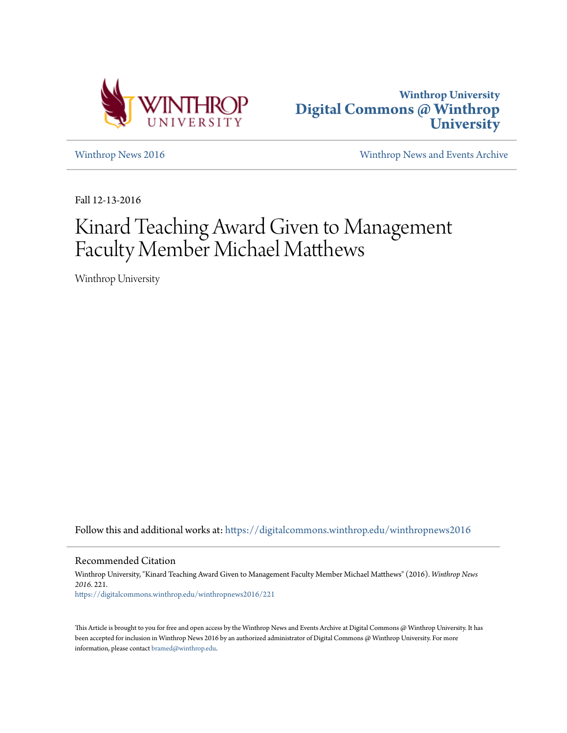



[Winthrop News 2016](https://digitalcommons.winthrop.edu/winthropnews2016?utm_source=digitalcommons.winthrop.edu%2Fwinthropnews2016%2F221&utm_medium=PDF&utm_campaign=PDFCoverPages) [Winthrop News and Events Archive](https://digitalcommons.winthrop.edu/winthropnewsarchives?utm_source=digitalcommons.winthrop.edu%2Fwinthropnews2016%2F221&utm_medium=PDF&utm_campaign=PDFCoverPages)

Fall 12-13-2016

## Kinard Teaching Award Given to Management Faculty Member Michael Matthews

Winthrop University

Follow this and additional works at: [https://digitalcommons.winthrop.edu/winthropnews2016](https://digitalcommons.winthrop.edu/winthropnews2016?utm_source=digitalcommons.winthrop.edu%2Fwinthropnews2016%2F221&utm_medium=PDF&utm_campaign=PDFCoverPages)

Recommended Citation

Winthrop University, "Kinard Teaching Award Given to Management Faculty Member Michael Matthews" (2016). *Winthrop News 2016*. 221. [https://digitalcommons.winthrop.edu/winthropnews2016/221](https://digitalcommons.winthrop.edu/winthropnews2016/221?utm_source=digitalcommons.winthrop.edu%2Fwinthropnews2016%2F221&utm_medium=PDF&utm_campaign=PDFCoverPages)

This Article is brought to you for free and open access by the Winthrop News and Events Archive at Digital Commons @ Winthrop University. It has been accepted for inclusion in Winthrop News 2016 by an authorized administrator of Digital Commons @ Winthrop University. For more information, please contact [bramed@winthrop.edu](mailto:bramed@winthrop.edu).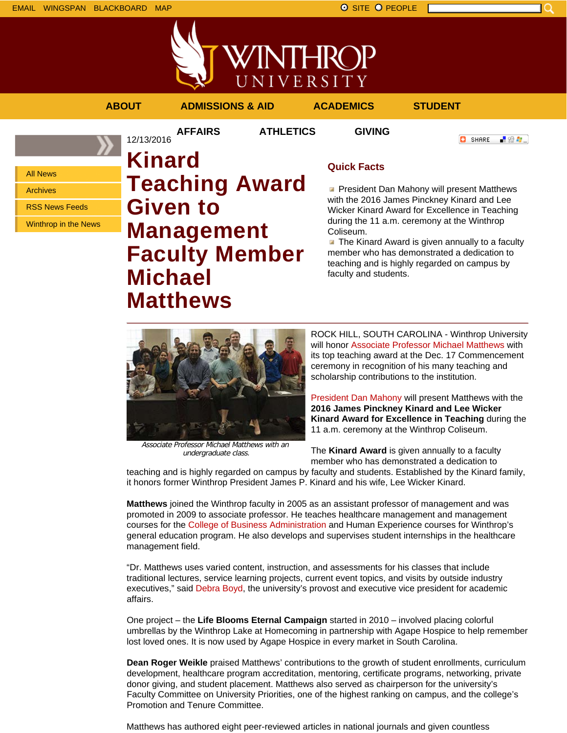All News Archives





**AFFAIRS ATHLETICS GIVING**

**ABOUT ADMISSIONS & AID ACADEMICS STUDENT**



RSS News Feeds Winthrop in the News **Kinard Given to**

12/13/2016

# **Teaching Award Management Faculty Member Michael Matthews**

## **Quick Facts**

**President Dan Mahony will present Matthews** with the 2016 James Pinckney Kinard and Lee Wicker Kinard Award for Excellence in Teaching during the 11 a.m. ceremony at the Winthrop Coliseum.

 $\blacksquare$  The Kinard Award is given annually to a faculty member who has demonstrated a dedication to teaching and is highly regarded on campus by faculty and students.



Associate Professor Michael Matthews with an undergraduate class.

ROCK HILL, SOUTH CAROLINA - Winthrop University will honor Associate Professor Michael Matthews with its top teaching award at the Dec. 17 Commencement ceremony in recognition of his many teaching and scholarship contributions to the institution.

President Dan Mahony will present Matthews with the **2016 James Pinckney Kinard and Lee Wicker Kinard Award for Excellence in Teaching** during the 11 a.m. ceremony at the Winthrop Coliseum.

The **Kinard Award** is given annually to a faculty member who has demonstrated a dedication to

teaching and is highly regarded on campus by faculty and students. Established by the Kinard family, it honors former Winthrop President James P. Kinard and his wife, Lee Wicker Kinard.

**Matthews** joined the Winthrop faculty in 2005 as an assistant professor of management and was promoted in 2009 to associate professor. He teaches healthcare management and management courses for the College of Business Administration and Human Experience courses for Winthrop's general education program. He also develops and supervises student internships in the healthcare management field.

"Dr. Matthews uses varied content, instruction, and assessments for his classes that include traditional lectures, service learning projects, current event topics, and visits by outside industry executives," said Debra Boyd, the university's provost and executive vice president for academic affairs.

One project – the **Life Blooms Eternal Campaign** started in 2010 – involved placing colorful umbrellas by the Winthrop Lake at Homecoming in partnership with Agape Hospice to help remember lost loved ones. It is now used by Agape Hospice in every market in South Carolina.

**Dean Roger Weikle** praised Matthews' contributions to the growth of student enrollments, curriculum development, healthcare program accreditation, mentoring, certificate programs, networking, private donor giving, and student placement. Matthews also served as chairperson for the university's Faculty Committee on University Priorities, one of the highest ranking on campus, and the college's Promotion and Tenure Committee.

Matthews has authored eight peer-reviewed articles in national journals and given countless